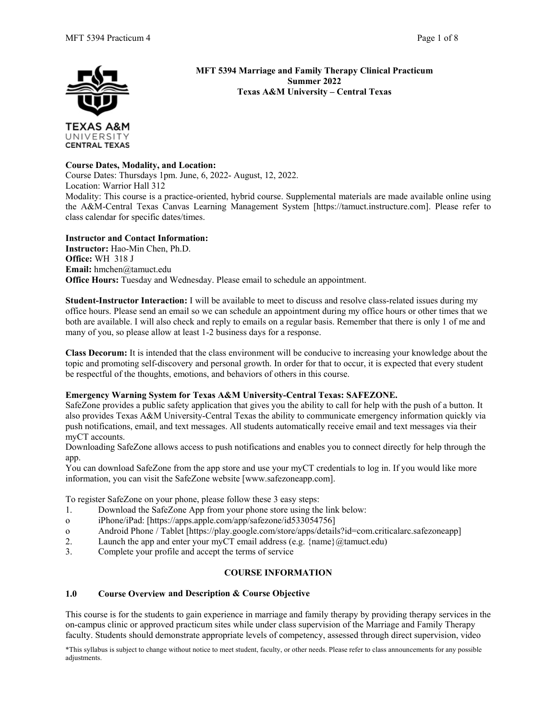

UNIVERSITY **CENTRAL TEXAS**  **MFT 5394 Marriage and Family Therapy Clinical Practicum Summer 2022 Texas A&M University – Central Texas**

## **Course Dates, Modality, and Location:**

Course Dates: Thursdays 1pm. June, 6, 2022- August, 12, 2022. Location: Warrior Hall 312 Modality: This course is a practice-oriented, hybrid course. Supplemental materials are made available online using the A&M-Central Texas Canvas Learning Management System [https://tamuct.instructure.com]. Please refer to class calendar for specific dates/times.

**Instructor and Contact Information: Instructor:** Hao-Min Chen, Ph.D. **Office:** WH 318 J **Email:** hmchen@tamuct.edu **Office Hours:** Tuesday and Wednesday. Please email to schedule an appointment.

**Student-Instructor Interaction:** I will be available to meet to discuss and resolve class-related issues during my office hours. Please send an email so we can schedule an appointment during my office hours or other times that we both are available. I will also check and reply to emails on a regular basis. Remember that there is only 1 of me and many of you, so please allow at least 1-2 business days for a response.

**Class Decorum:** It is intended that the class environment will be conducive to increasing your knowledge about the topic and promoting self-discovery and personal growth. In order for that to occur, it is expected that every student be respectful of the thoughts, emotions, and behaviors of others in this course.

## **Emergency Warning System for Texas A&M University-Central Texas: SAFEZONE.**

SafeZone provides a public safety application that gives you the ability to call for help with the push of a button. It also provides Texas A&M University-Central Texas the ability to communicate emergency information quickly via push notifications, email, and text messages. All students automatically receive email and text messages via their myCT accounts.

Downloading SafeZone allows access to push notifications and enables you to connect directly for help through the app.

You can download SafeZone from the app store and use your myCT credentials to log in. If you would like more information, you can visit the SafeZone website [www.safezoneapp.com].

To register SafeZone on your phone, please follow these 3 easy steps:

- 1. Download the SafeZone App from your phone store using the link below:
- o iPhone/iPad: [https://apps.apple.com/app/safezone/id533054756]
- o Android Phone / Tablet [https://play.google.com/store/apps/details?id=com.criticalarc.safezoneapp]<br>2 Launch the app and enter your myCT email address (e.g. {name}@tamuct edu}
- Launch the app and enter your myCT email address (e.g.  $\{name\}@t$ amuct.edu)
- 3. Complete your profile and accept the terms of service

# **COURSE INFORMATION**

## **1.0 Course Overview and Description & Course Objective**

This course is for the students to gain experience in marriage and family therapy by providing therapy services in the on-campus clinic or approved practicum sites while under class supervision of the Marriage and Family Therapy faculty. Students should demonstrate appropriate levels of competency, assessed through direct supervision, video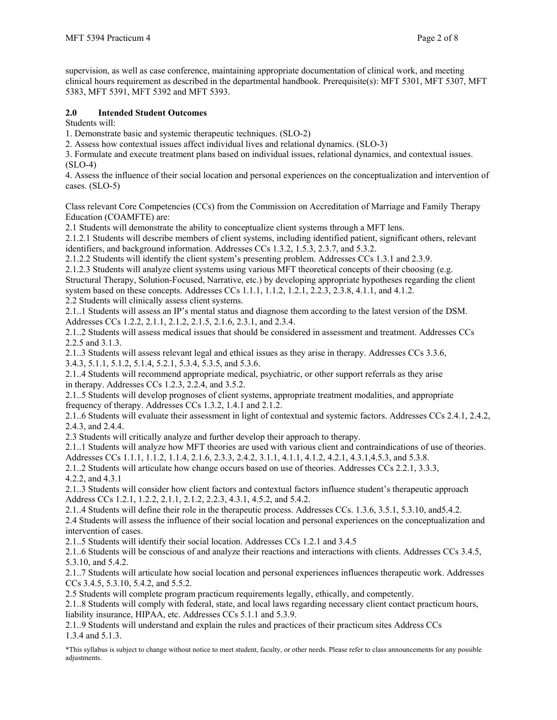supervision, as well as case conference, maintaining appropriate documentation of clinical work, and meeting clinical hours requirement as described in the departmental handbook. Prerequisite(s): MFT 5301, MFT 5307, MFT 5383, MFT 5391, MFT 5392 and MFT 5393.

## **2.0 Intended Student Outcomes**

Students will:

1. Demonstrate basic and systemic therapeutic techniques. (SLO-2)

2. Assess how contextual issues affect individual lives and relational dynamics. (SLO-3)

3. Formulate and execute treatment plans based on individual issues, relational dynamics, and contextual issues.  $(SLO-4)$ 

4. Assess the influence of their social location and personal experiences on the conceptualization and intervention of cases. (SLO-5)

Class relevant Core Competencies (CCs) from the Commission on Accreditation of Marriage and Family Therapy Education (COAMFTE) are:

2.1 Students will demonstrate the ability to conceptualize client systems through a MFT lens.

2.1.2.1 Students will describe members of client systems, including identified patient, significant others, relevant identifiers, and background information. Addresses CCs 1.3.2, 1.5.3, 2.3.7, and 5.3.2.

2.1.2.2 Students will identify the client system's presenting problem. Addresses CCs 1.3.1 and 2.3.9.

2.1.2.3 Students will analyze client systems using various MFT theoretical concepts of their choosing (e.g. Structural Therapy, Solution-Focused, Narrative, etc.) by developing appropriate hypotheses regarding the client system based on these concepts. Addresses CCs 1.1.1, 1.1.2, 1.2.1, 2.2.3, 2.3.8, 4.1.1, and 4.1.2. 2.2 Students will clinically assess client systems.

2.1..1 Students will assess an IP's mental status and diagnose them according to the latest version of the DSM. Addresses CCs 1.2.2, 2.1.1, 2.1.2, 2.1.5, 2.1.6, 2.3.1, and 2.3.4.

2.1..2 Students will assess medical issues that should be considered in assessment and treatment. Addresses CCs 2.2.5 and 3.1.3.

2.1..3 Students will assess relevant legal and ethical issues as they arise in therapy. Addresses CCs 3.3.6, 3.4.3, 5.1.1, 5.1.2, 5.1.4, 5.2.1, 5.3.4, 5.3.5, and 5.3.6.

2.1..4 Students will recommend appropriate medical, psychiatric, or other support referrals as they arise in therapy. Addresses CCs 1.2.3, 2.2.4, and 3.5.2.

2.1..5 Students will develop prognoses of client systems, appropriate treatment modalities, and appropriate frequency of therapy. Addresses CCs 1.3.2, 1.4.1 and 2.1.2.

2.1..6 Students will evaluate their assessment in light of contextual and systemic factors. Addresses CCs 2.4.1, 2.4.2, 2.4.3, and 2.4.4.

2.3 Students will critically analyze and further develop their approach to therapy.

2.1..1 Students will analyze how MFT theories are used with various client and contraindications of use of theories.

Addresses CCs 1.1.1, 1.1.2, 1.1.4, 2.1.6, 2.3.3, 2.4.2, 3.1.1, 4.1.1, 4.1.2, 4.2.1, 4.3.1,4.5.3, and 5.3.8.

2.1..2 Students will articulate how change occurs based on use of theories. Addresses CCs 2.2.1, 3.3.3, 4.2.2, and 4.3.1

2.1..3 Students will consider how client factors and contextual factors influence student's therapeutic approach Address CCs 1.2.1, 1.2.2, 2.1.1, 2.1.2, 2.2.3, 4.3.1, 4.5.2, and 5.4.2.

2.1..4 Students will define their role in the therapeutic process. Addresses CCs. 1.3.6, 3.5.1, 5.3.10, and5.4.2. 2.4 Students will assess the influence of their social location and personal experiences on the conceptualization and intervention of cases.

2.1..5 Students will identify their social location. Addresses CCs 1.2.1 and 3.4.5

2.1..6 Students will be conscious of and analyze their reactions and interactions with clients. Addresses CCs 3.4.5, 5.3.10, and 5.4.2.

2.1..7 Students will articulate how social location and personal experiences influences therapeutic work. Addresses CCs 3.4.5, 5.3.10, 5.4.2, and 5.5.2.

2.5 Students will complete program practicum requirements legally, ethically, and competently.

2.1..8 Students will comply with federal, state, and local laws regarding necessary client contact practicum hours, liability insurance, HIPAA, etc. Addresses CCs 5.1.1 and 5.3.9.

2.1..9 Students will understand and explain the rules and practices of their practicum sites Address CCs 1.3.4 and 5.1.3.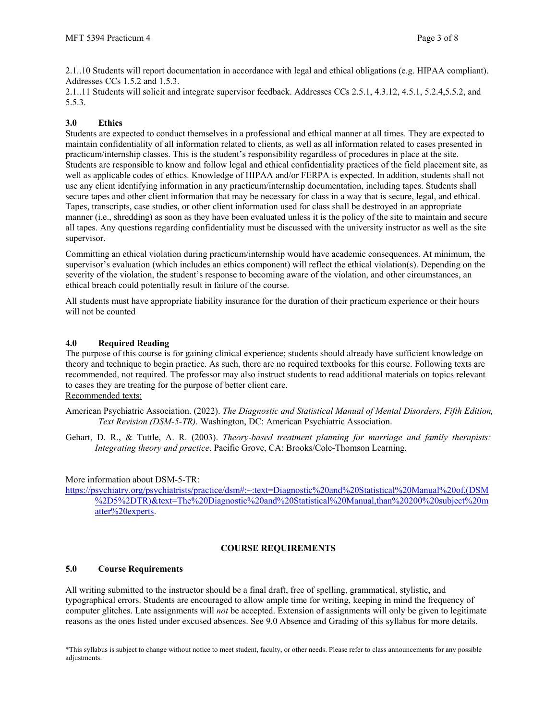2.1..10 Students will report documentation in accordance with legal and ethical obligations (e.g. HIPAA compliant). Addresses CCs 1.5.2 and 1.5.3.

2.1..11 Students will solicit and integrate supervisor feedback. Addresses CCs 2.5.1, 4.3.12, 4.5.1, 5.2.4,5.5.2, and 5.5.3.

# **3.0 Ethics**

Students are expected to conduct themselves in a professional and ethical manner at all times. They are expected to maintain confidentiality of all information related to clients, as well as all information related to cases presented in practicum/internship classes. This is the student's responsibility regardless of procedures in place at the site. Students are responsible to know and follow legal and ethical confidentiality practices of the field placement site, as well as applicable codes of ethics. Knowledge of HIPAA and/or FERPA is expected. In addition, students shall not use any client identifying information in any practicum/internship documentation, including tapes. Students shall secure tapes and other client information that may be necessary for class in a way that is secure, legal, and ethical. Tapes, transcripts, case studies, or other client information used for class shall be destroyed in an appropriate manner (i.e., shredding) as soon as they have been evaluated unless it is the policy of the site to maintain and secure all tapes. Any questions regarding confidentiality must be discussed with the university instructor as well as the site supervisor.

Committing an ethical violation during practicum/internship would have academic consequences. At minimum, the supervisor's evaluation (which includes an ethics component) will reflect the ethical violation(s). Depending on the severity of the violation, the student's response to becoming aware of the violation, and other circumstances, an ethical breach could potentially result in failure of the course.

All students must have appropriate liability insurance for the duration of their practicum experience or their hours will not be counted

## **4.0 Required Reading**

The purpose of this course is for gaining clinical experience; students should already have sufficient knowledge on theory and technique to begin practice. As such, there are no required textbooks for this course. Following texts are recommended, not required. The professor may also instruct students to read additional materials on topics relevant to cases they are treating for the purpose of better client care. Recommended texts:

American Psychiatric Association. (2022). *The Diagnostic and Statistical Manual of Mental Disorders, Fifth Edition, Text Revision (DSM-5-TR)*. Washington, DC: American Psychiatric Association.

Gehart, D. R., & Tuttle, A. R. (2003). *Theory-based treatment planning for marriage and family therapists: Integrating theory and practice*. Pacific Grove, CA: Brooks/Cole-Thomson Learning.

## More information about DSM-5-TR:

[https://psychiatry.org/psychiatrists/practice/dsm#:~:text=Diagnostic%20and%20Statistical%20Manual%20of,\(DSM](https://psychiatry.org/psychiatrists/practice/dsm#:%7E:text=Diagnostic%20and%20Statistical%20Manual%20of,(DSM%2D5%2DTR)&text=The%20Diagnostic%20and%20Statistical%20Manual,than%20200%20subject%20matter%20experts) [%2D5%2DTR\)&text=The%20Diagnostic%20and%20Statistical%20Manual,than%20200%20subject%20m](https://psychiatry.org/psychiatrists/practice/dsm#:%7E:text=Diagnostic%20and%20Statistical%20Manual%20of,(DSM%2D5%2DTR)&text=The%20Diagnostic%20and%20Statistical%20Manual,than%20200%20subject%20matter%20experts) [atter%20experts.](https://psychiatry.org/psychiatrists/practice/dsm#:%7E:text=Diagnostic%20and%20Statistical%20Manual%20of,(DSM%2D5%2DTR)&text=The%20Diagnostic%20and%20Statistical%20Manual,than%20200%20subject%20matter%20experts)

## **COURSE REQUIREMENTS**

## **5.0 Course Requirements**

All writing submitted to the instructor should be a final draft, free of spelling, grammatical, stylistic, and typographical errors. Students are encouraged to allow ample time for writing, keeping in mind the frequency of computer glitches. Late assignments will *not* be accepted. Extension of assignments will only be given to legitimate reasons as the ones listed under excused absences. See 9.0 Absence and Grading of this syllabus for more details.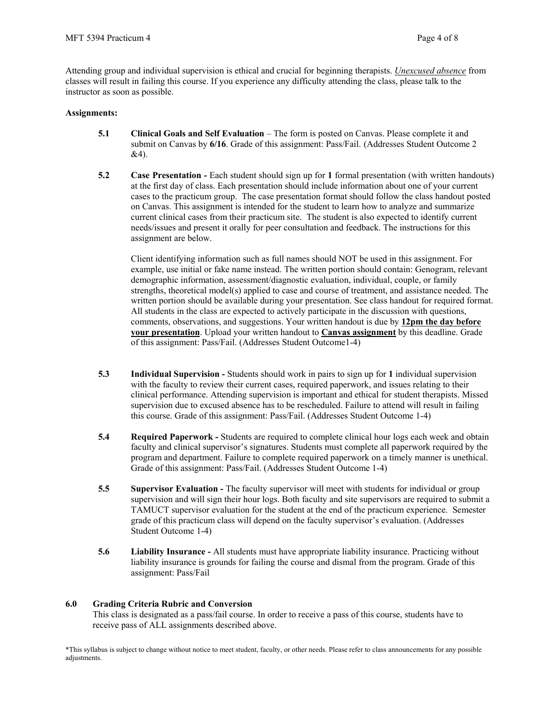Attending group and individual supervision is ethical and crucial for beginning therapists. *Unexcused absence* from classes will result in failing this course. If you experience any difficulty attending the class, please talk to the instructor as soon as possible.

### **Assignments:**

- **5.1 Clinical Goals and Self Evaluation** The form is posted on Canvas. Please complete it and submit on Canvas by **6/16**. Grade of this assignment: Pass/Fail. (Addresses Student Outcome 2 &4).
- **5.2 Case Presentation -** Each student should sign up for **1** formal presentation (with written handouts) at the first day of class. Each presentation should include information about one of your current cases to the practicum group. The case presentation format should follow the class handout posted on Canvas. This assignment is intended for the student to learn how to analyze and summarize current clinical cases from their practicum site. The student is also expected to identify current needs/issues and present it orally for peer consultation and feedback. The instructions for this assignment are below.

Client identifying information such as full names should NOT be used in this assignment. For example, use initial or fake name instead. The written portion should contain: Genogram, relevant demographic information, assessment/diagnostic evaluation, individual, couple, or family strengths, theoretical model(s) applied to case and course of treatment, and assistance needed. The written portion should be available during your presentation. See class handout for required format. All students in the class are expected to actively participate in the discussion with questions, comments, observations, and suggestions. Your written handout is due by **12pm the day before your presentation**. Upload your written handout to **Canvas assignment** by this deadline. Grade of this assignment: Pass/Fail. (Addresses Student Outcome1-4)

- **5.3 Individual Supervision -** Students should work in pairs to sign up for **1** individual supervision with the faculty to review their current cases, required paperwork, and issues relating to their clinical performance. Attending supervision is important and ethical for student therapists. Missed supervision due to excused absence has to be rescheduled. Failure to attend will result in failing this course. Grade of this assignment: Pass/Fail. (Addresses Student Outcome 1-4)
- **5.4 Required Paperwork -** Students are required to complete clinical hour logs each week and obtain faculty and clinical supervisor's signatures. Students must complete all paperwork required by the program and department. Failure to complete required paperwork on a timely manner is unethical. Grade of this assignment: Pass/Fail. (Addresses Student Outcome 1-4)
- **5.5 Supervisor Evaluation -** The faculty supervisor will meet with students for individual or group supervision and will sign their hour logs. Both faculty and site supervisors are required to submit a TAMUCT supervisor evaluation for the student at the end of the practicum experience. Semester grade of this practicum class will depend on the faculty supervisor's evaluation. (Addresses Student Outcome 1-4)
- **5.6 Liability Insurance -** All students must have appropriate liability insurance. Practicing without liability insurance is grounds for failing the course and dismal from the program. Grade of this assignment: Pass/Fail

#### **6.0 Grading Criteria Rubric and Conversion**

This class is designated as a pass/fail course. In order to receive a pass of this course, students have to receive pass of ALL assignments described above.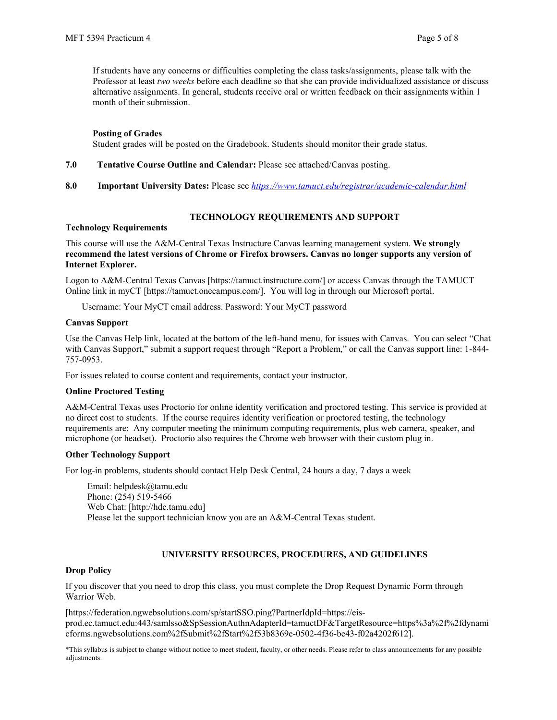If students have any concerns or difficulties completing the class tasks/assignments, please talk with the Professor at least *two weeks* before each deadline so that she can provide individualized assistance or discuss alternative assignments. In general, students receive oral or written feedback on their assignments within 1 month of their submission.

### **Posting of Grades**

Student grades will be posted on the Gradebook. Students should monitor their grade status.

- **7.0 Tentative Course Outline and Calendar:** Please see attached/Canvas posting.
- **8.0 Important University Dates:** Please see *<https://www.tamuct.edu/registrar/academic-calendar.html>*

## **TECHNOLOGY REQUIREMENTS AND SUPPORT**

### **Technology Requirements**

This course will use the A&M-Central Texas Instructure Canvas learning management system. **We strongly recommend the latest versions of Chrome or Firefox browsers. Canvas no longer supports any version of Internet Explorer.**

Logon to A&M-Central Texas Canvas [https://tamuct.instructure.com/] or access Canvas through the TAMUCT Online link in myCT [https://tamuct.onecampus.com/]. You will log in through our Microsoft portal.

Username: Your MyCT email address. Password: Your MyCT password

### **Canvas Support**

Use the Canvas Help link, located at the bottom of the left-hand menu, for issues with Canvas. You can select "Chat with Canvas Support," submit a support request through "Report a Problem," or call the Canvas support line: 1-844-757-0953.

For issues related to course content and requirements, contact your instructor.

#### **Online Proctored Testing**

A&M-Central Texas uses Proctorio for online identity verification and proctored testing. This service is provided at no direct cost to students. If the course requires identity verification or proctored testing, the technology requirements are: Any computer meeting the minimum computing requirements, plus web camera, speaker, and microphone (or headset). Proctorio also requires the Chrome web browser with their custom plug in.

#### **Other Technology Support**

For log-in problems, students should contact Help Desk Central, 24 hours a day, 7 days a week

Email: helpdesk@tamu.edu Phone: (254) 519-5466 Web Chat: [http://hdc.tamu.edu] Please let the support technician know you are an A&M-Central Texas student.

## **UNIVERSITY RESOURCES, PROCEDURES, AND GUIDELINES**

#### **Drop Policy**

If you discover that you need to drop this class, you must complete the Drop Request Dynamic Form through Warrior Web.

[https://federation.ngwebsolutions.com/sp/startSSO.ping?PartnerIdpId=https://eisprod.ec.tamuct.edu:443/samlsso&SpSessionAuthnAdapterId=tamuctDF&TargetResource=https%3a%2f%2fdynami cforms.ngwebsolutions.com%2fSubmit%2fStart%2f53b8369e-0502-4f36-be43-f02a4202f612].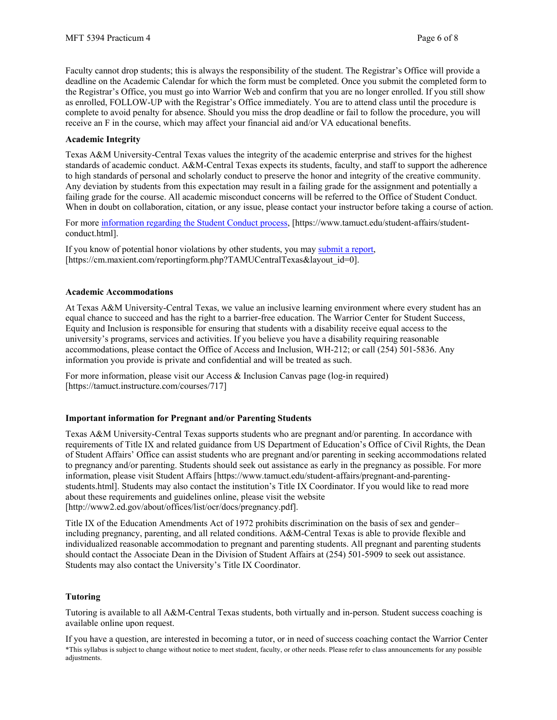Faculty cannot drop students; this is always the responsibility of the student. The Registrar's Office will provide a deadline on the Academic Calendar for which the form must be completed. Once you submit the completed form to the Registrar's Office, you must go into Warrior Web and confirm that you are no longer enrolled. If you still show as enrolled, FOLLOW-UP with the Registrar's Office immediately. You are to attend class until the procedure is complete to avoid penalty for absence. Should you miss the drop deadline or fail to follow the procedure, you will receive an F in the course, which may affect your financial aid and/or VA educational benefits.

### **Academic Integrity**

Texas A&M University-Central Texas values the integrity of the academic enterprise and strives for the highest standards of academic conduct. A&M-Central Texas expects its students, faculty, and staff to support the adherence to high standards of personal and scholarly conduct to preserve the honor and integrity of the creative community. Any deviation by students from this expectation may result in a failing grade for the assignment and potentially a failing grade for the course. All academic misconduct concerns will be referred to the Office of Student Conduct. When in doubt on collaboration, citation, or any issue, please contact your instructor before taking a course of action.

For more [information](https://nam04.safelinks.protection.outlook.com/?url=https%3A%2F%2Fwww.tamuct.edu%2Fstudent-affairs%2Fstudent-conduct.html&data=04%7C01%7Clisa.bunkowski%40tamuct.edu%7Ccfb6e486f24745f53e1a08d910055cb2%7C9eed4e3000f744849ff193ad8005acec%7C0%7C0%7C637558437485252160%7CUnknown%7CTWFpbGZsb3d8eyJWIjoiMC4wLjAwMDAiLCJQIjoiV2luMzIiLCJBTiI6Ik1haWwiLCJXVCI6Mn0%3D%7C1000&sdata=yjftDEVHvLX%2FhM%2FcFU0B99krV1RgEWR%2BJ%2BhvtoR6TYk%3D&reserved=0) regarding the Student Conduct process, [https://www.tamuct.edu/student-affairs/studentconduct.html].

If you know of potential honor violations by other students, you may [submit](https://nam04.safelinks.protection.outlook.com/?url=https%3A%2F%2Fcm.maxient.com%2Freportingform.php%3FTAMUCentralTexas%26layout_id%3D0&data=04%7C01%7Clisa.bunkowski%40tamuct.edu%7Ccfb6e486f24745f53e1a08d910055cb2%7C9eed4e3000f744849ff193ad8005acec%7C0%7C0%7C637558437485262157%7CUnknown%7CTWFpbGZsb3d8eyJWIjoiMC4wLjAwMDAiLCJQIjoiV2luMzIiLCJBTiI6Ik1haWwiLCJXVCI6Mn0%3D%7C1000&sdata=CXGkOa6uPDPX1IMZ87z3aZDq2n91xfHKu4MMS43Ejjk%3D&reserved=0) a report, [https://cm.maxient.com/reportingform.php?TAMUCentralTexas&layout\_id=0].

### **Academic Accommodations**

At Texas A&M University-Central Texas, we value an inclusive learning environment where every student has an equal chance to succeed and has the right to a barrier-free education. The Warrior Center for Student Success, Equity and Inclusion is responsible for ensuring that students with a disability receive equal access to the university's programs, services and activities. If you believe you have a disability requiring reasonable accommodations, please contact the Office of Access and Inclusion, WH-212; or call (254) 501-5836. Any information you provide is private and confidential and will be treated as such.

For more information, please visit our Access & Inclusion Canvas page (log-in required) [https://tamuct.instructure.com/courses/717]

#### **Important information for Pregnant and/or Parenting Students**

Texas A&M University-Central Texas supports students who are pregnant and/or parenting. In accordance with requirements of Title IX and related guidance from US Department of Education's Office of Civil Rights, the Dean of Student Affairs' Office can assist students who are pregnant and/or parenting in seeking accommodations related to pregnancy and/or parenting. Students should seek out assistance as early in the pregnancy as possible. For more information, please visit Student Affairs [https://www.tamuct.edu/student-affairs/pregnant-and-parentingstudents.html]. Students may also contact the institution's Title IX Coordinator. If you would like to read more about these requirements and guidelines online, please visit the website [http://www2.ed.gov/about/offices/list/ocr/docs/pregnancy.pdf].

Title IX of the Education Amendments Act of 1972 prohibits discrimination on the basis of sex and gender– including pregnancy, parenting, and all related conditions. A&M-Central Texas is able to provide flexible and individualized reasonable accommodation to pregnant and parenting students. All pregnant and parenting students should contact the Associate Dean in the Division of Student Affairs at (254) 501-5909 to seek out assistance. Students may also contact the University's Title IX Coordinator.

## **Tutoring**

Tutoring is available to all A&M-Central Texas students, both virtually and in-person. Student success coaching is available online upon request.

\*This syllabus is subject to change without notice to meet student, faculty, or other needs. Please refer to class announcements for any possible adjustments. If you have a question, are interested in becoming a tutor, or in need of success coaching contact the Warrior Center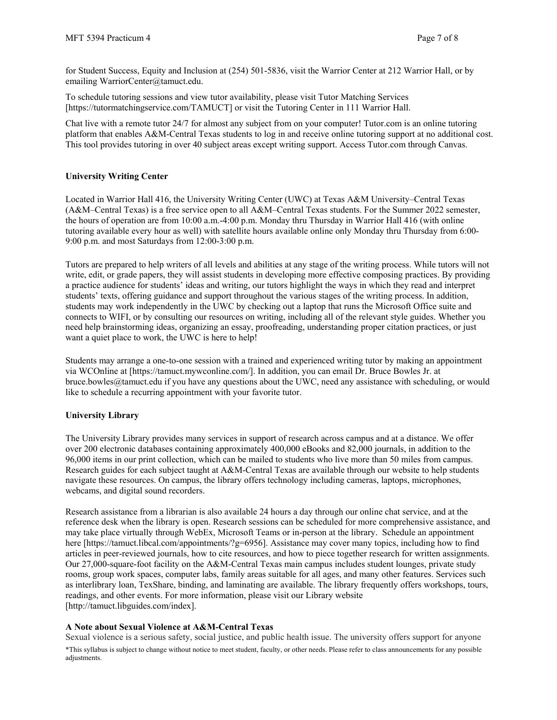for Student Success, Equity and Inclusion at (254) 501-5836, visit the Warrior Center at 212 Warrior Hall, or by emailing WarriorCenter@tamuct.edu.

To schedule tutoring sessions and view tutor availability, please visit Tutor Matching Services [https://tutormatchingservice.com/TAMUCT] or visit the Tutoring Center in 111 Warrior Hall.

Chat live with a remote tutor 24/7 for almost any subject from on your computer! Tutor.com is an online tutoring platform that enables A&M-Central Texas students to log in and receive online tutoring support at no additional cost. This tool provides tutoring in over 40 subject areas except writing support. Access Tutor.com through Canvas.

## **University Writing Center**

Located in Warrior Hall 416, the University Writing Center (UWC) at Texas A&M University–Central Texas (A&M–Central Texas) is a free service open to all A&M–Central Texas students. For the Summer 2022 semester, the hours of operation are from 10:00 a.m.-4:00 p.m. Monday thru Thursday in Warrior Hall 416 (with online tutoring available every hour as well) with satellite hours available online only Monday thru Thursday from 6:00- 9:00 p.m. and most Saturdays from 12:00-3:00 p.m.

Tutors are prepared to help writers of all levels and abilities at any stage of the writing process. While tutors will not write, edit, or grade papers, they will assist students in developing more effective composing practices. By providing a practice audience for students' ideas and writing, our tutors highlight the ways in which they read and interpret students' texts, offering guidance and support throughout the various stages of the writing process. In addition, students may work independently in the UWC by checking out a laptop that runs the Microsoft Office suite and connects to WIFI, or by consulting our resources on writing, including all of the relevant style guides. Whether you need help brainstorming ideas, organizing an essay, proofreading, understanding proper citation practices, or just want a quiet place to work, the UWC is here to help!

Students may arrange a one-to-one session with a trained and experienced writing tutor by making an appointment via WCOnline at [https://tamuct.mywconline.com/]. In addition, you can email Dr. Bruce Bowles Jr. at bruce.bowles@tamuct.edu if you have any questions about the UWC, need any assistance with scheduling, or would like to schedule a recurring appointment with your favorite tutor.

## **University Library**

The University Library provides many services in support of research across campus and at a distance. We offer over 200 electronic databases containing approximately 400,000 eBooks and 82,000 journals, in addition to the 96,000 items in our print collection, which can be mailed to students who live more than 50 miles from campus. Research guides for each subject taught at A&M-Central Texas are available through our website to help students navigate these resources. On campus, the library offers technology including cameras, laptops, microphones, webcams, and digital sound recorders.

Research assistance from a librarian is also available 24 hours a day through our online chat service, and at the reference desk when the library is open. Research sessions can be scheduled for more comprehensive assistance, and may take place virtually through WebEx, Microsoft Teams or in-person at the library. Schedule an appointment here [https://tamuct.libcal.com/appointments/?g=6956]. Assistance may cover many topics, including how to find articles in peer-reviewed journals, how to cite resources, and how to piece together research for written assignments. Our 27,000-square-foot facility on the A&M-Central Texas main campus includes student lounges, private study rooms, group work spaces, computer labs, family areas suitable for all ages, and many other features. Services such as interlibrary loan, TexShare, binding, and laminating are available. The library frequently offers workshops, tours, readings, and other events. For more information, please visit our Library website [http://tamuct.libguides.com/index].

## **A Note about Sexual Violence at A&M-Central Texas**

\*This syllabus is subject to change without notice to meet student, faculty, or other needs. Please refer to class announcements for any possible adjustments. Sexual violence is a serious safety, social justice, and public health issue. The university offers support for anyone